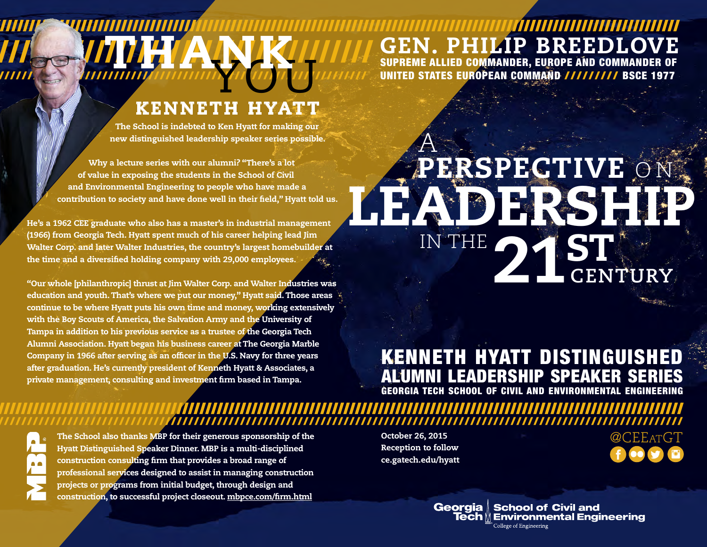#### /////////////////////////////////////////////////////////////////////////////////////////////////////////////////////////// GEN. PHILIP BREEDLOV SUPREME ALLIED COMMANDER, EUROPE AND COMMANDER OF

UNITED STATES EUROPEAN COMMAND ///////// BSCE 1977

## KENNETH HYATT WOUND UT

The School is indebted to Ken Hyatt for making our new distinguished leadership speaker series possible.

Why a lecture series with our alumni? "There's a lot of value in exposing the students in the School of Civil and Environmental Engineering to people who have made a contribution to society and have done well in their feld," Hyatt told us.

**THANK** 

He's a 1962 CEE graduate who also has a master's in industrial management (1966) from Georgia Tech. Hyatt spent much of his career helping lead Jim Walter Corp. and later Walter Industries, the country's largest homebuilder at the time and a diversifed holding company with 29,000 employees.

/////////////////////////////////////////////////////////////////////

////////////////////////////////////////////////

"Our whole [philanthropic] thrust at Jim Walter Corp. and Walter Industries was education and youth. That's where we put our money," Hyatt said. Those areas continue to be where Hyatt puts his own time and money, working extensively with the Boy Scouts of America, the Salvation Army and the University of Tampa in addition to his previous service as a trustee of the Georgia Tech Alumni Association. Hyatt began his business career at The Georgia Marble Company in 1966 after serving as an officer in the U.S. Navy for three years after graduation. He's currently president of Kenneth Hyatt & Associates, a private management, consulting and investment frm based in Tampa.

### PERSPECTIVE LEADERSHIP 21ST A O N IN THE **CENTURY**

#### KENNETH HYATT DISTINGUISHED ALUMNI LEADERSHIP SPEAKER SERIES GEORGIA TECH SCHOOL OF CIVIL AND ENVIRONMENTAL ENGINEERING

/////////////////////////////////////////////////////////////////////////////////////////////////////////////////////////

The School also thanks MBP for their generous sponsorship of the  $\bullet$  . October 26, 2015  $\bullet$  . The School also thanks MBP for their generous sponsorship of the Hyatt Distinguished Speaker Dinner. MBP is a multi-disciplined construction consulting frm that provides a broad range of professional services designed to assist in managing construction projects or programs from initial budget, through design and construction, to successful project closeout. mbpce.com/frm.html

October 26, 2015 Reception to follow ce.gatech.edu/hyatt

////////////////////////////////////////////////////////////////////////////////////////////////////////////////////////

Georgia | School of Civil and  $\mathop{\bf \check{e}ch}\nolimits\mathbin{\mathbb N}$  Environmental Engineering